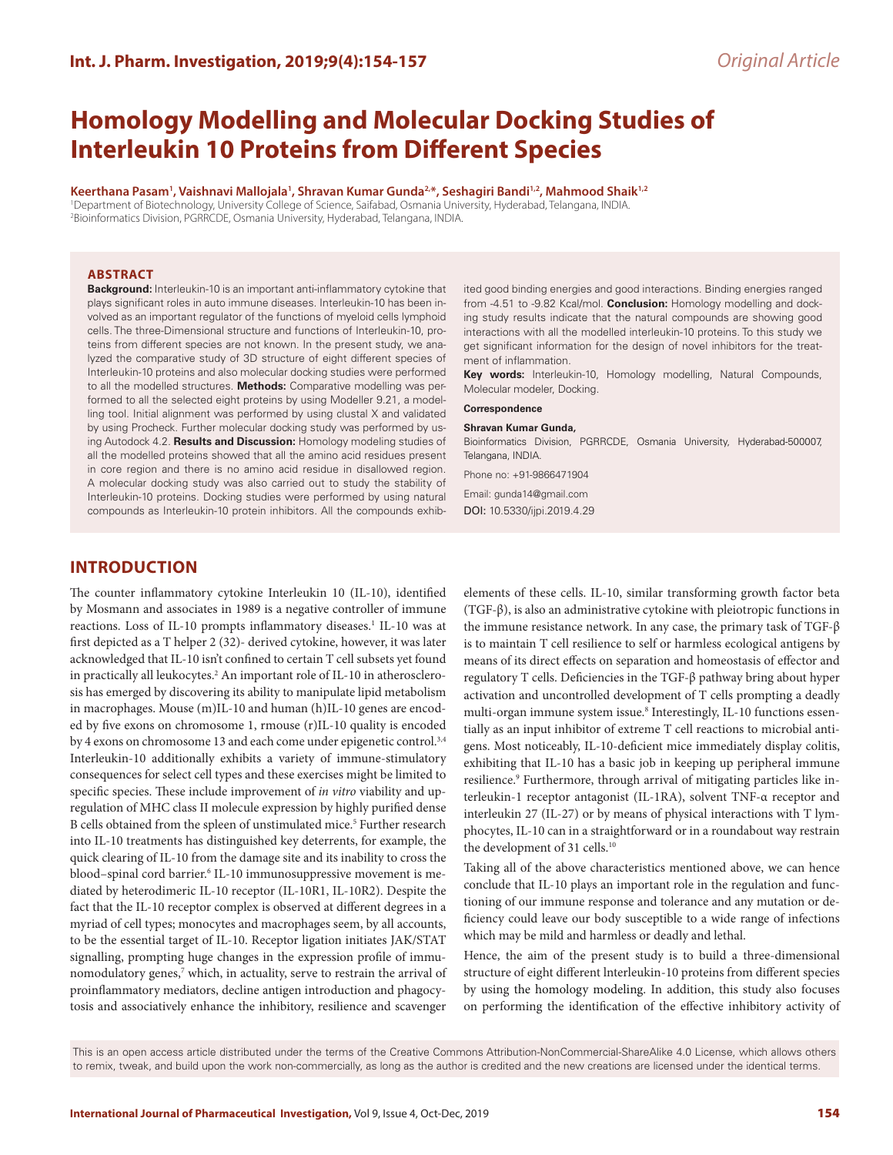# **Homology Modelling and Molecular Docking Studies of Interleukin 10 Proteins from Different Species**

Keerthana Pasam<sup>1</sup>, Vaishnavi Mallojala<sup>1</sup>, Shravan Kumar Gunda<sup>2,\*</sup>, Seshagiri Bandi<sup>1,2</sup>, Mahmood Shaik<sup>1,2</sup>

1 Department of Biotechnology, University College of Science, Saifabad, Osmania University, Hyderabad, Telangana, INDIA. 2 Bioinformatics Division, PGRRCDE, Osmania University, Hyderabad, Telangana, INDIA.

#### **ABSTRACT**

**Background:** Interleukin-10 is an important anti-inflammatory cytokine that plays significant roles in auto immune diseases. Interleukin-10 has been involved as an important regulator of the functions of myeloid cells lymphoid cells. The three-Dimensional structure and functions of Interleukin-10, proteins from different species are not known. In the present study, we analyzed the comparative study of 3D structure of eight different species of Interleukin-10 proteins and also molecular docking studies were performed to all the modelled structures. **Methods:** Comparative modelling was performed to all the selected eight proteins by using Modeller 9.21, a modelling tool. Initial alignment was performed by using clustal X and validated by using Procheck. Further molecular docking study was performed by using Autodock 4.2. **Results and Discussion:** Homology modeling studies of all the modelled proteins showed that all the amino acid residues present in core region and there is no amino acid residue in disallowed region. A molecular docking study was also carried out to study the stability of Interleukin-10 proteins. Docking studies were performed by using natural compounds as Interleukin-10 protein inhibitors. All the compounds exhibited good binding energies and good interactions. Binding energies ranged from -4.51 to -9.82 Kcal/mol. **Conclusion:** Homology modelling and docking study results indicate that the natural compounds are showing good interactions with all the modelled interleukin-10 proteins. To this study we get significant information for the design of novel inhibitors for the treatment of inflammation.

**Key words:** Interleukin-10, Homology modelling, Natural Compounds, Molecular modeler, Docking.

#### **Correspondence**

**Shravan Kumar Gunda,** Bioinformatics Division, PGRRCDE, Osmania University, Hyderabad-500007, Telangana, INDIA.

Phone no: +91-9866471904

Email: gunda14@gmail.com

DOI: 10.5330/ijpi.2019.4.29

## **INTRODUCTION**

The counter inflammatory cytokine Interleukin 10 (IL-10), identified by Mosmann and associates in 1989 is a negative controller of immune reactions. Loss of IL-10 prompts inflammatory diseases.<sup>1</sup> IL-10 was at first depicted as a T helper 2 (32)- derived cytokine, however, it was later acknowledged that IL-10 isn't confined to certain T cell subsets yet found in practically all leukocytes.<sup>2</sup> An important role of IL-10 in atherosclerosis has emerged by discovering its ability to manipulate lipid metabolism in macrophages. Mouse (m)IL-10 and human (h)IL-10 genes are encoded by five exons on chromosome 1, rmouse (r)IL-10 quality is encoded by 4 exons on chromosome 13 and each come under epigenetic control.<sup>3,4</sup> Interleukin-10 additionally exhibits a variety of immune-stimulatory consequences for select cell types and these exercises might be limited to specific species. These include improvement of *in vitro* viability and upregulation of MHC class II molecule expression by highly purified dense B cells obtained from the spleen of unstimulated mice.<sup>5</sup> Further research into IL-10 treatments has distinguished key deterrents, for example, the quick clearing of IL-10 from the damage site and its inability to cross the blood-spinal cord barrier.<sup>6</sup> IL-10 immunosuppressive movement is mediated by heterodimeric IL-10 receptor (IL-10R1, IL-10R2). Despite the fact that the IL-10 receptor complex is observed at different degrees in a myriad of cell types; monocytes and macrophages seem, by all accounts, to be the essential target of IL-10. Receptor ligation initiates JAK/STAT signalling, prompting huge changes in the expression profile of immunomodulatory genes,<sup>7</sup> which, in actuality, serve to restrain the arrival of proinflammatory mediators, decline antigen introduction and phagocytosis and associatively enhance the inhibitory, resilience and scavenger

elements of these cells. IL-10, similar transforming growth factor beta (TGF-β), is also an administrative cytokine with pleiotropic functions in the immune resistance network. In any case, the primary task of TGF-β is to maintain T cell resilience to self or harmless ecological antigens by means of its direct effects on separation and homeostasis of effector and regulatory T cells. Deficiencies in the TGF-β pathway bring about hyper activation and uncontrolled development of T cells prompting a deadly multi-organ immune system issue.<sup>8</sup> Interestingly, IL-10 functions essentially as an input inhibitor of extreme T cell reactions to microbial antigens. Most noticeably, IL-10-deficient mice immediately display colitis, exhibiting that IL-10 has a basic job in keeping up peripheral immune resilience.<sup>9</sup> Furthermore, through arrival of mitigating particles like interleukin-1 receptor antagonist (IL-1RA), solvent TNF-α receptor and interleukin 27 (IL-27) or by means of physical interactions with T lymphocytes, IL-10 can in a straightforward or in a roundabout way restrain the development of 31 cells.<sup>10</sup>

Taking all of the above characteristics mentioned above, we can hence conclude that IL-10 plays an important role in the regulation and functioning of our immune response and tolerance and any mutation or deficiency could leave our body susceptible to a wide range of infections which may be mild and harmless or deadly and lethal.

Hence, the aim of the present study is to build a three-dimensional structure of eight different lnterleukin-10 proteins from different species by using the homology modeling. In addition, this study also focuses on performing the identification of the effective inhibitory activity of

This is an open access article distributed under the terms of the Creative Commons Attribution-NonCommercial-ShareAlike 4.0 License, which allows others to remix, tweak, and build upon the work non-commercially, as long as the author is credited and the new creations are licensed under the identical terms.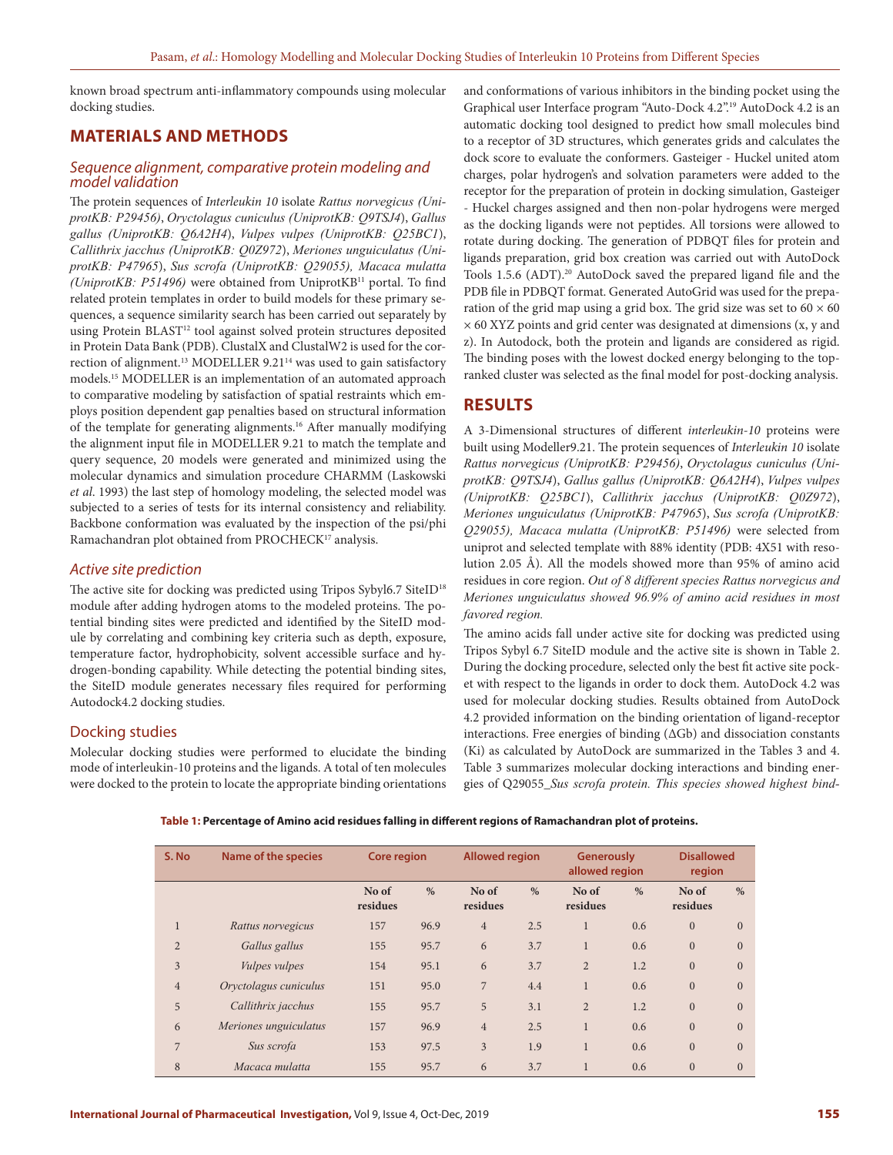known broad spectrum anti-inflammatory compounds using molecular docking studies.

# **MATERIALS AND METHODS**

#### *Sequence alignment, comparative protein modeling and model validation*

The protein sequences of *Interleukin 10* isolate *Rattus norvegicus (UniprotKB: P29456)*, *Oryctolagus cuniculus (UniprotKB: Q9TSJ4*), *Gallus gallus (UniprotKB: Q6A2H4*), *Vulpes vulpes (UniprotKB: Q25BC1*), *Callithrix jacchus (UniprotKB: Q0Z972*), *Meriones unguiculatus (UniprotKB: P47965*), *Sus scrofa (UniprotKB: Q29055), Macaca mulatta (UniprotKB: P51496)* were obtained from UniprotKB<sup>11</sup> portal. To find related protein templates in order to build models for these primary sequences, a sequence similarity search has been carried out separately by using Protein BLAST<sup>12</sup> tool against solved protein structures deposited in Protein Data Bank (PDB). ClustalX and ClustalW2 is used for the correction of alignment.<sup>13</sup> MODELLER 9.21<sup>14</sup> was used to gain satisfactory models.15 MODELLER is an implementation of an automated approach to comparative modeling by satisfaction of spatial restraints which employs position dependent gap penalties based on structural information of the template for generating alignments.<sup>16</sup> After manually modifying the alignment input file in MODELLER 9.21 to match the template and query sequence, 20 models were generated and minimized using the molecular dynamics and simulation procedure CHARMM (Laskowski *et al*. 1993) the last step of homology modeling, the selected model was subjected to a series of tests for its internal consistency and reliability. Backbone conformation was evaluated by the inspection of the psi/phi Ramachandran plot obtained from PROCHECK<sup>17</sup> analysis.

### *Active site prediction*

The active site for docking was predicted using Tripos Sybyl6.7 SiteID<sup>18</sup> module after adding hydrogen atoms to the modeled proteins. The potential binding sites were predicted and identified by the SiteID module by correlating and combining key criteria such as depth, exposure, temperature factor, hydrophobicity, solvent accessible surface and hydrogen-bonding capability. While detecting the potential binding sites, the SiteID module generates necessary files required for performing Autodock4.2 docking studies.

## Docking studies

Molecular docking studies were performed to elucidate the binding mode of interleukin-10 proteins and the ligands. A total of ten molecules were docked to the protein to locate the appropriate binding orientations

and conformations of various inhibitors in the binding pocket using the Graphical user Interface program "Auto-Dock 4.2".19 AutoDock 4.2 is an automatic docking tool designed to predict how small molecules bind to a receptor of 3D structures, which generates grids and calculates the dock score to evaluate the conformers. Gasteiger - Huckel united atom charges, polar hydrogen's and solvation parameters were added to the receptor for the preparation of protein in docking simulation, Gasteiger - Huckel charges assigned and then non-polar hydrogens were merged as the docking ligands were not peptides. All torsions were allowed to rotate during docking. The generation of PDBQT files for protein and ligands preparation, grid box creation was carried out with AutoDock Tools 1.5.6 (ADT).<sup>20</sup> AutoDock saved the prepared ligand file and the PDB file in PDBQT format. Generated AutoGrid was used for the preparation of the grid map using a grid box. The grid size was set to  $60 \times 60$  $\times$  60 XYZ points and grid center was designated at dimensions (x, y and z). In Autodock, both the protein and ligands are considered as rigid. The binding poses with the lowest docked energy belonging to the topranked cluster was selected as the final model for post-docking analysis.

# **RESULTS**

A 3-Dimensional structures of different *interleukin-10* proteins were built using Modeller9.21. The protein sequences of *Interleukin 10* isolate *Rattus norvegicus (UniprotKB: P29456)*, *Oryctolagus cuniculus (UniprotKB: Q9TSJ4*), *Gallus gallus (UniprotKB: Q6A2H4*), *Vulpes vulpes (UniprotKB: Q25BC1*), *Callithrix jacchus (UniprotKB: Q0Z972*), *Meriones unguiculatus (UniprotKB: P47965*), *Sus scrofa (UniprotKB: Q29055), Macaca mulatta (UniprotKB: P51496)* were selected from uniprot and selected template with 88% identity (PDB: 4X51 with resolution 2.05 Å). All the models showed more than 95% of amino acid residues in core region. *Out of 8 different species Rattus norvegicus and Meriones unguiculatus showed 96.9% of amino acid residues in most favored region.* 

The amino acids fall under active site for docking was predicted using Tripos Sybyl 6.7 SiteID module and the active site is shown in Table 2. During the docking procedure, selected only the best fit active site pocket with respect to the ligands in order to dock them. AutoDock 4.2 was used for molecular docking studies. Results obtained from AutoDock 4.2 provided information on the binding orientation of ligand-receptor interactions. Free energies of binding (ΔGb) and dissociation constants (Ki) as calculated by AutoDock are summarized in the Tables 3 and 4. Table 3 summarizes molecular docking interactions and binding energies of Q29055\_*Sus scrofa protein. This species showed highest bind-*

**Table 1: Percentage of Amino acid residues falling in different regions of Ramachandran plot of proteins.**

| S. No          | Name of the species   | <b>Core region</b><br><b>Allowed region</b> |      | <b>Generously</b><br>allowed region |      | <b>Disallowed</b><br>region |      |                   |                |
|----------------|-----------------------|---------------------------------------------|------|-------------------------------------|------|-----------------------------|------|-------------------|----------------|
|                |                       | No of<br>residues                           | $\%$ | No of<br>residues                   | $\%$ | No of<br>residues           | $\%$ | No of<br>residues | $\%$           |
|                | Rattus norvegicus     | 157                                         | 96.9 | $\overline{4}$                      | 2.5  | 1                           | 0.6  | $\mathbf{0}$      | $\overline{0}$ |
| $\overline{2}$ | Gallus gallus         | 155                                         | 95.7 | 6                                   | 3.7  | $\mathbf{1}$                | 0.6  | $\mathbf{0}$      | $\mathbf{0}$   |
| $\overline{3}$ | <i>Vulpes vulpes</i>  | 154                                         | 95.1 | 6                                   | 3.7  | $\overline{2}$              | 1.2  | $\overline{0}$    | $\overline{0}$ |
| $\overline{4}$ | Oryctolagus cuniculus | 151                                         | 95.0 | $\overline{7}$                      | 4.4  | $\mathbf{1}$                | 0.6  | $\overline{0}$    | $\overline{0}$ |
| 5              | Callithrix jacchus    | 155                                         | 95.7 | 5                                   | 3.1  | $\overline{2}$              | 1.2  | $\mathbf{0}$      | $\overline{0}$ |
| 6              | Meriones unguiculatus | 157                                         | 96.9 | $\overline{4}$                      | 2.5  | 1                           | 0.6  | $\overline{0}$    | $\overline{0}$ |
| 7              | Sus scrofa            | 153                                         | 97.5 | 3                                   | 1.9  | 1                           | 0.6  | $\mathbf{0}$      | $\theta$       |
| 8              | Macaca mulatta        | 155                                         | 95.7 | 6                                   | 3.7  |                             | 0.6  | $\overline{0}$    | $\overline{0}$ |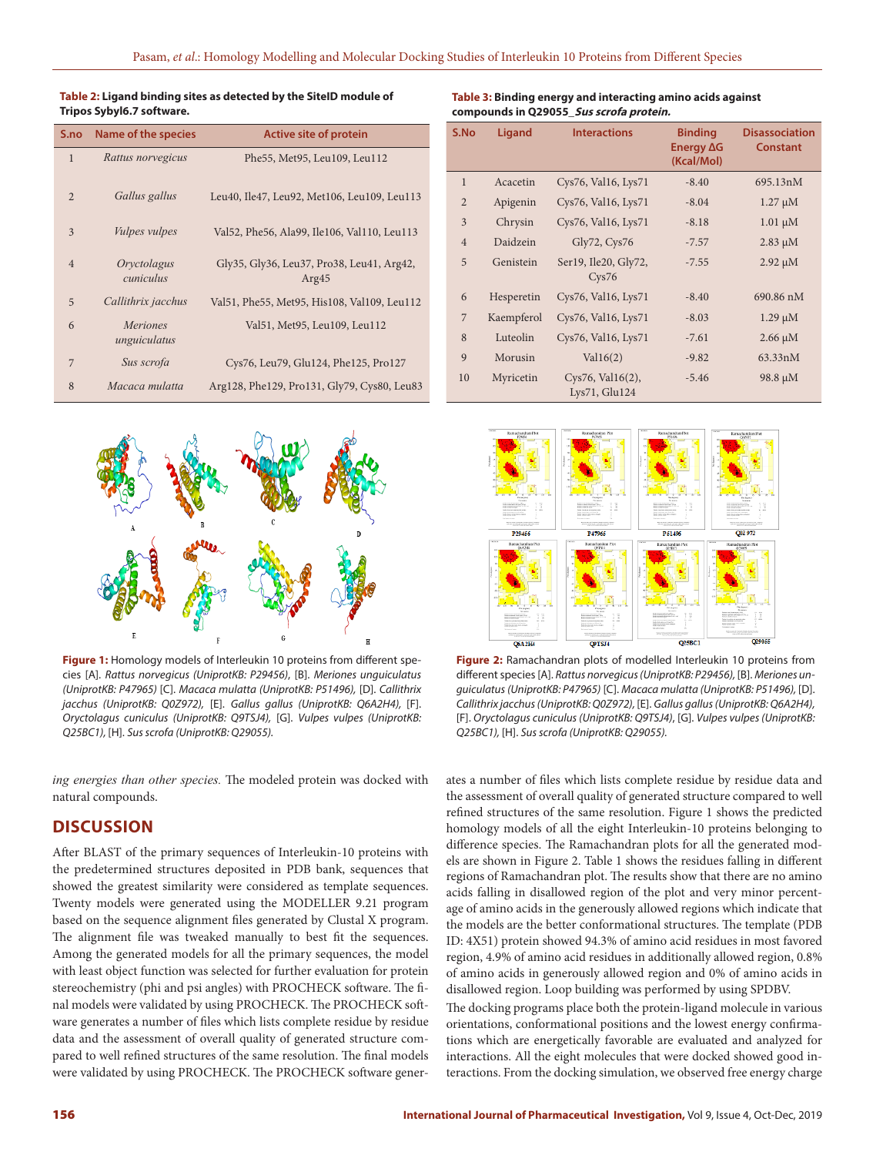#### **Table 2: Ligand binding sites as detected by the SiteID module of Tripos Sybyl6.7 software.**

| S.no           | Name of the species             | <b>Active site of protein</b>                      |  |
|----------------|---------------------------------|----------------------------------------------------|--|
| $\mathbf{1}$   | Rattus norvegicus               | Phe55, Met95, Leu109, Leu112                       |  |
| $\overline{2}$ | Gallus gallus                   | Leu40, Ile47, Leu92, Met106, Leu109, Leu113        |  |
| 3              | <i>Vulpes vulpes</i>            | Val52, Phe56, Ala99, Ile106, Val110, Leu113        |  |
| $\overline{4}$ | Oryctolagus<br>cuniculus        | Gly35, Gly36, Leu37, Pro38, Leu41, Arg42,<br>Arg45 |  |
| 5              | Callithrix jacchus              | Val51, Phe55, Met95, His108, Val109, Leu112        |  |
| 6              | <i>Meriones</i><br>unguiculatus | Val51, Met95, Leu109, Leu112                       |  |
| 7              | Sus scrofa                      | Cys76, Leu79, Glu124, Phe125, Pro127               |  |
| 8              | Macaca mulatta                  | Arg128, Phe129, Pro131, Gly79, Cys80, Leu83        |  |



**Figure 1:** Homology models of Interleukin 10 proteins from different species [A]. *Rattus norvegicus (UniprotKB: P29456)*, [B]. *Meriones unguiculatus (UniprotKB: P47965)* [C]. *Macaca mulatta (UniprotKB: P51496),* [D]. *Callithrix jacchus (UniprotKB: Q0Z972),* [E]. *Gallus gallus (UniprotKB: Q6A2H4),* [F]. *Oryctolagus cuniculus (UniprotKB: Q9TSJ4),* [G]. *Vulpes vulpes (UniprotKB: Q25BC1),* [H]. *Sus scrofa (UniprotKB: Q29055).*

*ing energies than other species.* The modeled protein was docked with natural compounds.

# **DISCUSSION**

After BLAST of the primary sequences of Interleukin-10 proteins with the predetermined structures deposited in PDB bank, sequences that showed the greatest similarity were considered as template sequences. Twenty models were generated using the MODELLER 9.21 program based on the sequence alignment files generated by Clustal X program. The alignment file was tweaked manually to best fit the sequences. Among the generated models for all the primary sequences, the model with least object function was selected for further evaluation for protein stereochemistry (phi and psi angles) with PROCHECK software. The final models were validated by using PROCHECK. The PROCHECK software generates a number of files which lists complete residue by residue data and the assessment of overall quality of generated structure compared to well refined structures of the same resolution. The final models were validated by using PROCHECK. The PROCHECK software gener-

#### **Table 3: Binding energy and interacting amino acids against compounds in Q29055\_Sus scrofa protein.**

| S.No           | Ligand     | <b>Interactions</b>               | <b>Binding</b><br>Energy $\Delta G$<br>(Kcal/Mol) | <b>Disassociation</b><br><b>Constant</b> |
|----------------|------------|-----------------------------------|---------------------------------------------------|------------------------------------------|
| $\mathbf{1}$   | Acacetin   | Cys76, Val16, Lys71               | $-8.40$                                           | 695.13nM                                 |
| $\overline{2}$ | Apigenin   | Cys76, Val16, Lys71               | $-8.04$                                           | $1.27 \mu M$                             |
| 3              | Chrysin    | Cys76, Val16, Lys71               | $-8.18$                                           | $1.01 \mu M$                             |
| $\overline{4}$ | Daidzein   | Gly72, Cys76                      | $-7.57$                                           | $2.83 \mu M$                             |
| 5              | Genistein  | Ser19, Ile20, Gly72,<br>Cys76     | $-7.55$                                           | $2.92 \mu M$                             |
| 6              | Hesperetin | Cys76, Val16, Lys71               | $-8.40$                                           | 690.86 nM                                |
| 7              | Kaempferol | Cys76, Val16, Lys71               | $-8.03$                                           | $1.29 \mu M$                             |
| 8              | Luteolin   | Cys76, Val16, Lys71               | $-7.61$                                           | $2.66 \mu M$                             |
| 9              | Morusin    | Val16(2)                          | $-9.82$                                           | 63.33nM                                  |
| 10             | Myricetin  | Cys76, Val16(2),<br>Lys71, Glu124 | $-5.46$                                           | 98.8 µM                                  |



**Figure 2:** Ramachandran plots of modelled Interleukin 10 proteins from different species [A]. *Rattus norvegicus (UniprotKB: P29456),* [B]. *Meriones unguiculatus (UniprotKB: P47965)* [C]. *Macaca mulatta (UniprotKB: P51496),* [D]. *Callithrix jacchus (UniprotKB: Q0Z972),* [E]. *Gallus gallus (UniprotKB: Q6A2H4),*  [F]. *Oryctolagus cuniculus (UniprotKB: Q9TSJ4)*, [G]. *Vulpes vulpes (UniprotKB: Q25BC1),* [H]. *Sus scrofa (UniprotKB: Q29055).*

ates a number of files which lists complete residue by residue data and the assessment of overall quality of generated structure compared to well refined structures of the same resolution. Figure 1 shows the predicted homology models of all the eight Interleukin-10 proteins belonging to difference species. The Ramachandran plots for all the generated models are shown in Figure 2. Table 1 shows the residues falling in different regions of Ramachandran plot. The results show that there are no amino acids falling in disallowed region of the plot and very minor percentage of amino acids in the generously allowed regions which indicate that the models are the better conformational structures. The template (PDB ID: 4X51) protein showed 94.3% of amino acid residues in most favored region, 4.9% of amino acid residues in additionally allowed region, 0.8% of amino acids in generously allowed region and 0% of amino acids in disallowed region. Loop building was performed by using SPDBV.

The docking programs place both the protein-ligand molecule in various orientations, conformational positions and the lowest energy confirmations which are energetically favorable are evaluated and analyzed for interactions. All the eight molecules that were docked showed good interactions. From the docking simulation, we observed free energy charge